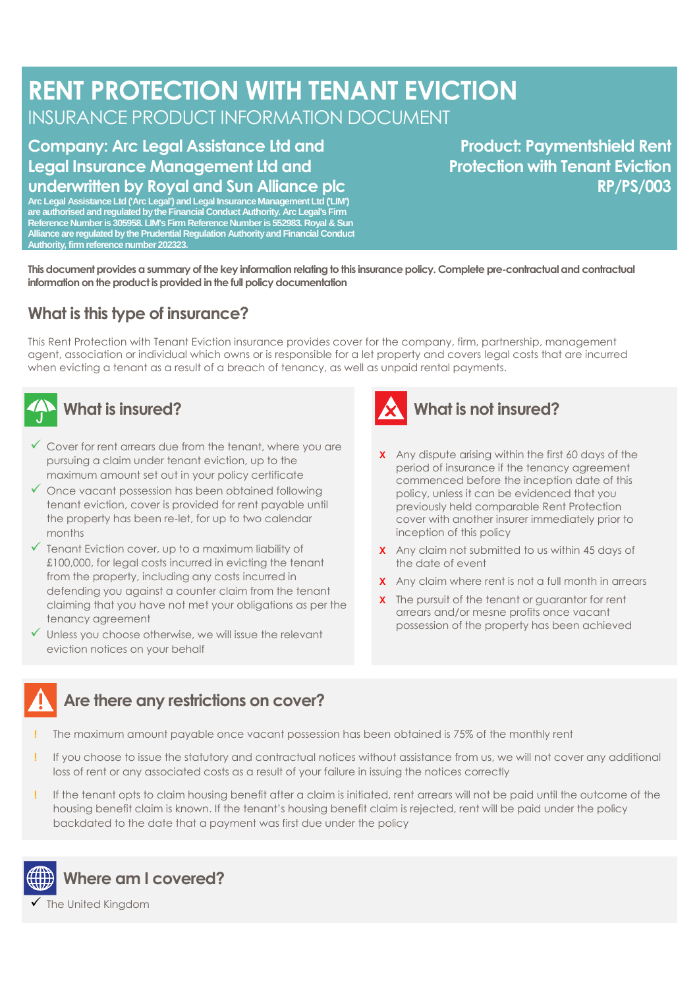## **RENT PROTECTION WITH TENANT EVICTION** INSURANCE PRODUCT INFORMATION DOCUMENT

#### **Company: Arc Legal Assistance Ltd and Legal Insurance Management Ltd and**

**underwritten by Royal and Sun Alliance plc Arc Legal Assistance Ltd ('Arc Legal') and Legal Insurance Management Ltd ('LIM') are authorised and regulated by the Financial Conduct Authority. Arc Legal's Firm** 

**Reference Number is 305958. LIM's Firm Reference Number is 552983. Royal & Sun Alliance are regulated by the Prudential Regulation Authority and Financial Conduct Authority, firm reference number 202323.**

#### **Product: Paymentshield Rent Protection with Tenant Eviction RP/PS/003**

**This document provides a summary of the key information relating to this insurance policy. Complete pre-contractual and contractual information on the product is provided in the full policy documentation**

#### **What is this type of insurance?**

This Rent Protection with Tenant Eviction insurance provides cover for the company, firm, partnership, management agent, association or individual which owns or is responsible for a let property and covers legal costs that are incurred when evicting a tenant as a result of a breach of tenancy, as well as unpaid rental payments.

# **What is insured?**

- $\checkmark$  Cover for rent arrears due from the tenant, where you are pursuing a claim under tenant eviction, up to the maximum amount set out in your policy certificate
- ✓ Once vacant possession has been obtained following tenant eviction, cover is provided for rent payable until the property has been re-let, for up to two calendar months
- $\checkmark$  Tenant Eviction cover, up to a maximum liability of £100,000, for legal costs incurred in evicting the tenant from the property, including any costs incurred in defending you against a counter claim from the tenant claiming that you have not met your obligations as per the tenancy agreement
- ✓ Unless you choose otherwise, we will issue the relevant eviction notices on your behalf



- **X** Any dispute arising within the first 60 days of the period of insurance if the tenancy agreement commenced before the inception date of this policy, unless it can be evidenced that you previously held comparable Rent Protection cover with another insurer immediately prior to inception of this policy
- **X** Any claim not submitted to us within 45 days of the date of event
- **X** Any claim where rent is not a full month in arrears
- **X** The pursuit of the tenant or guarantor for rent arrears and/or mesne profits once vacant possession of the property has been achieved

#### **Are there any restrictions on cover?**

- **!** The maximum amount payable once vacant possession has been obtained is 75% of the monthly rent
- **!** If you choose to issue the statutory and contractual notices without assistance from us, we will not cover any additional loss of rent or any associated costs as a result of your failure in issuing the notices correctly
- **!** If the tenant opts to claim housing benefit after a claim is initiated, rent arrears will not be paid until the outcome of the housing benefit claim is known. If the tenant's housing benefit claim is rejected, rent will be paid under the policy backdated to the date that a payment was first due under the policy



The United Kingdom